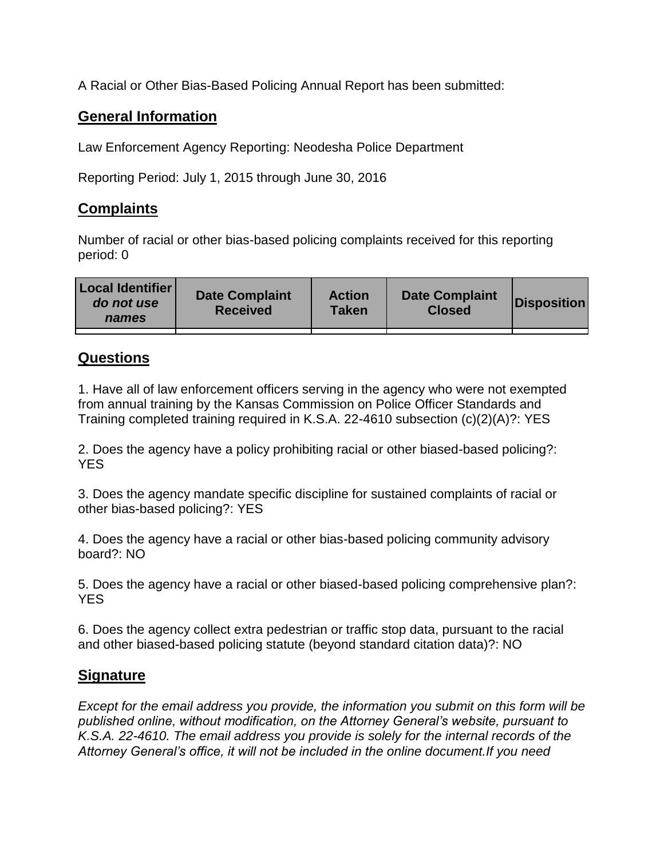A Racial or Other Bias-Based Policing Annual Report has been submitted:

## **General Information**

Law Enforcement Agency Reporting: Neodesha Police Department

Reporting Period: July 1, 2015 through June 30, 2016

## **Complaints**

Number of racial or other bias-based policing complaints received for this reporting period: 0

| <b>Local Identifier</b><br>do not use<br>names | <b>Date Complaint</b><br><b>Received</b> | <b>Action</b><br><b>Taken</b> | <b>Date Complaint</b><br><b>Closed</b> | Disposition |
|------------------------------------------------|------------------------------------------|-------------------------------|----------------------------------------|-------------|
|                                                |                                          |                               |                                        |             |

## **Questions**

1. Have all of law enforcement officers serving in the agency who were not exempted from annual training by the Kansas Commission on Police Officer Standards and Training completed training required in K.S.A. 22-4610 subsection (c)(2)(A)?: YES

2. Does the agency have a policy prohibiting racial or other biased-based policing?: YES

3. Does the agency mandate specific discipline for sustained complaints of racial or other bias-based policing?: YES

4. Does the agency have a racial or other bias-based policing community advisory board?: NO

5. Does the agency have a racial or other biased-based policing comprehensive plan?: YES

6. Does the agency collect extra pedestrian or traffic stop data, pursuant to the racial and other biased-based policing statute (beyond standard citation data)?: NO

## **Signature**

*Except for the email address you provide, the information you submit on this form will be published online, without modification, on the Attorney General's website, pursuant to K.S.A. 22-4610. The email address you provide is solely for the internal records of the Attorney General's office, it will not be included in the online document.If you need*